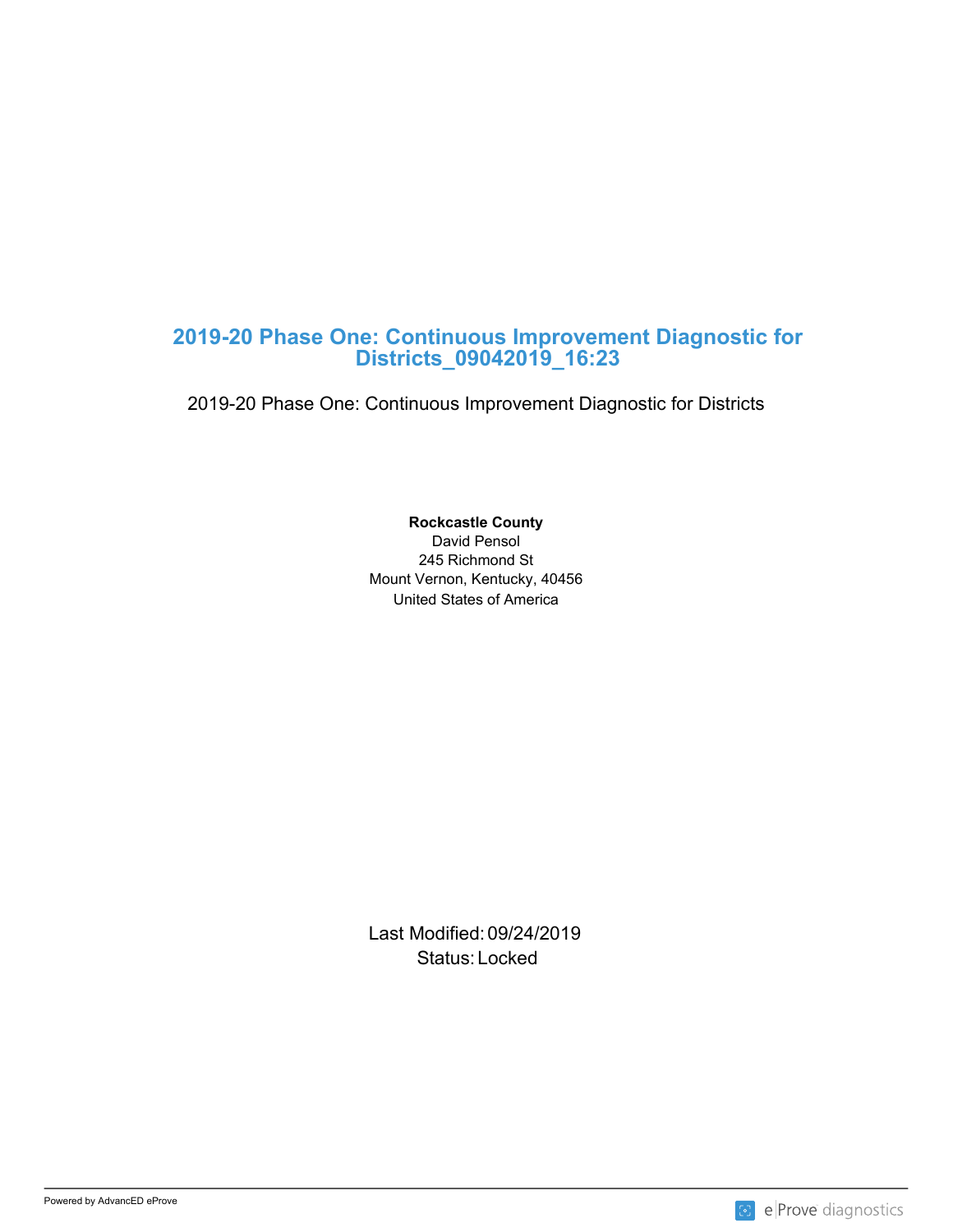## **2019-20 Phase One: Continuous Improvement Diagnostic for Districts\_09042019\_16:23**

2019-20 Phase One: Continuous Improvement Diagnostic for Districts

United States of America **Rockcastle County** David Pensol 245 Richmond St Mount Vernon, Kentucky, 40456

Last Modified: 09/24/2019 Status: Locked and the status of the status of the status of the status of the status of the status of the status of the status of the status of the status of the status of the status of the status of the status of the sta

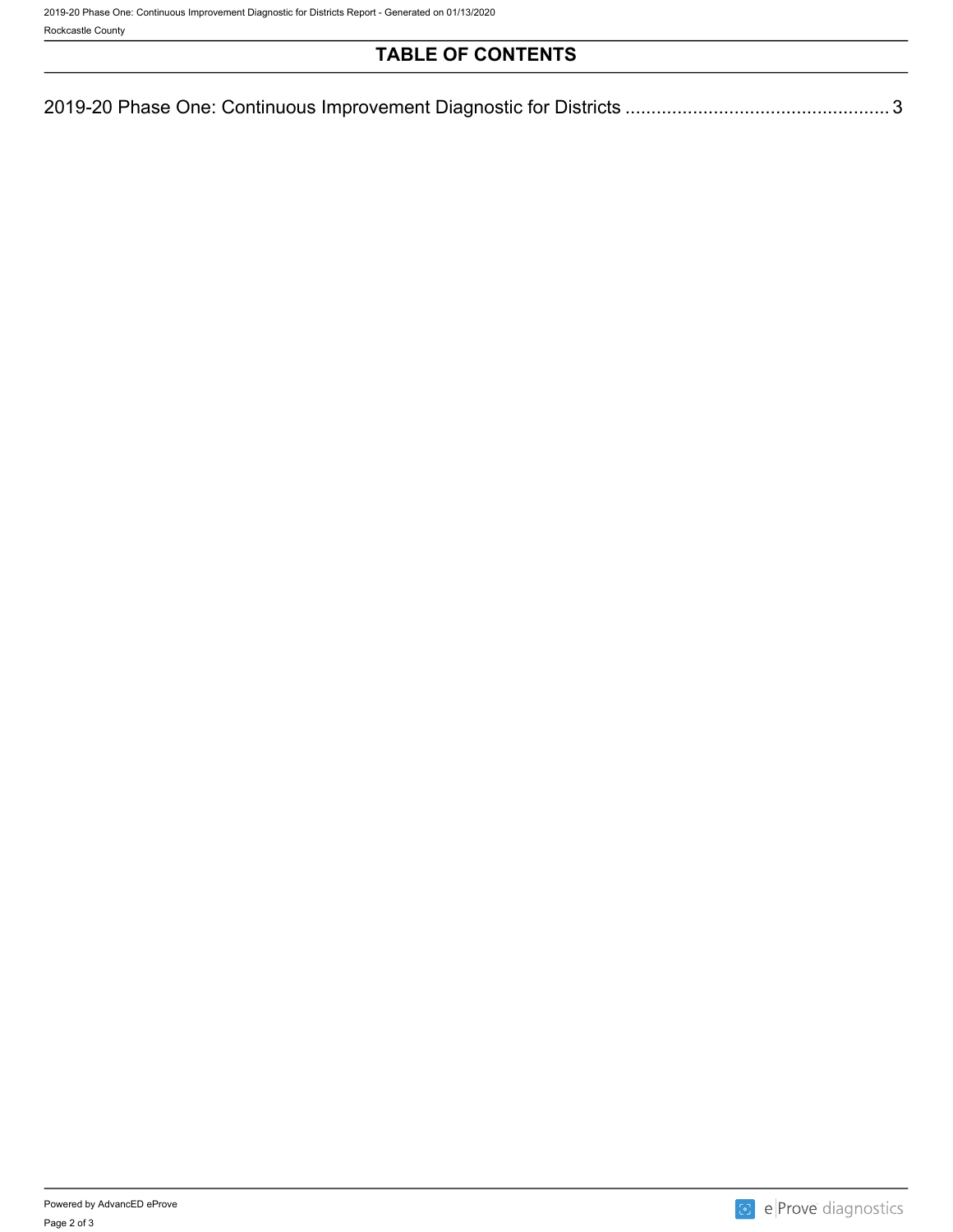# **TABLE OF CONTENTS**